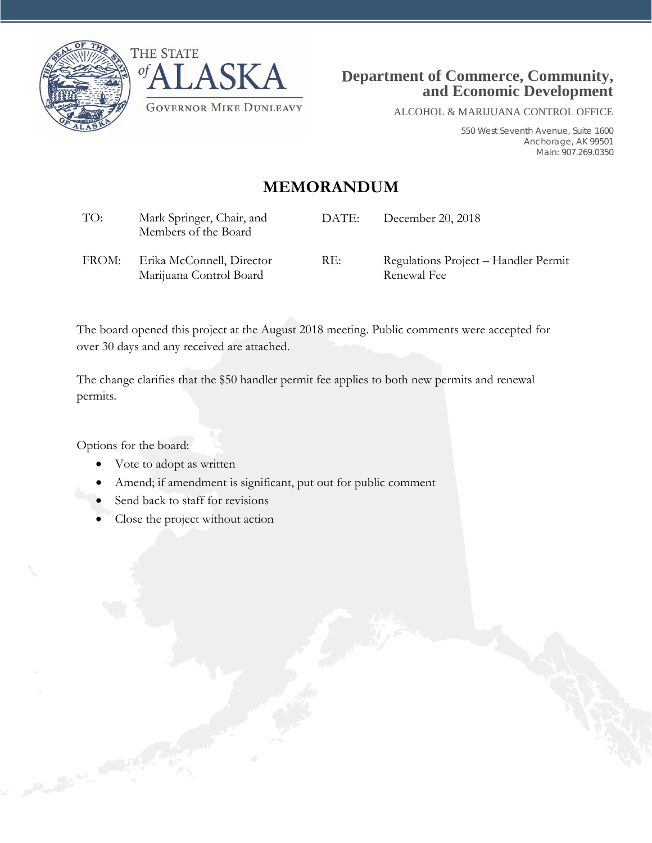



ALCOHOL & MARIJUANA CONTROL OFFICE

550 West Seventh Avenue, Suite 1600 Anchorage, AK 99501 Main: 907.269.0350

## **MEMORANDUM**

| TO:   | Mark Springer, Chair, and<br>Members of the Board    | DATE: | December 20, 2018                                   |
|-------|------------------------------------------------------|-------|-----------------------------------------------------|
| FROM: | Erika McConnell, Director<br>Marijuana Control Board | RE:   | Regulations Project – Handler Permit<br>Renewal Fee |

The board opened this project at the August 2018 meeting. Public comments were accepted for over 30 days and any received are attached.

The change clarifies that the \$50 handler permit fee applies to both new permits and renewal permits.

Options for the board:

- Vote to adopt as written
- Amend; if amendment is significant, put out for public comment
- Send back to staff for revisions
- Close the project without action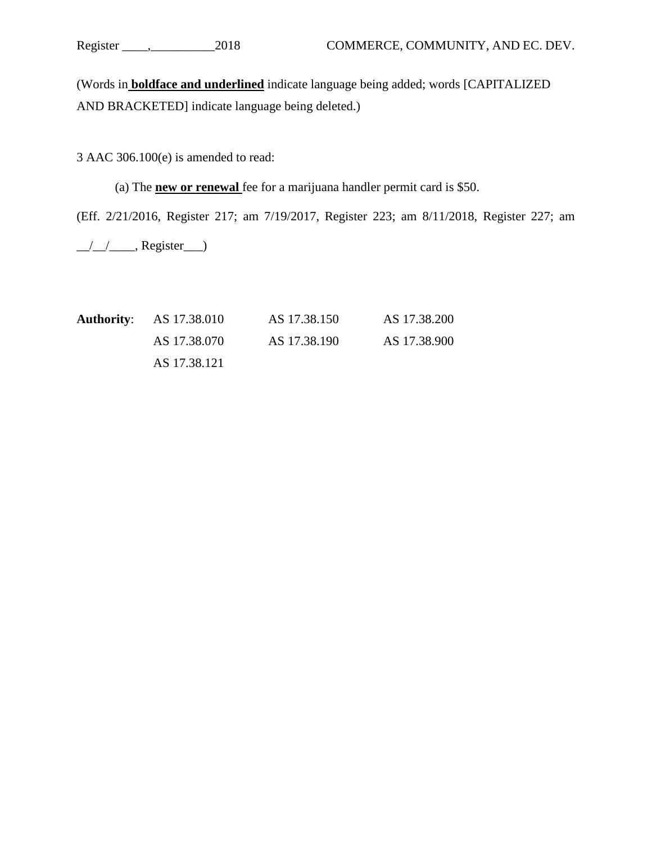(Words in **boldface and underlined** indicate language being added; words [CAPITALIZED AND BRACKETED] indicate language being deleted.)

3 AAC 306.100(e) is amended to read:

(a) The **new or renewal** fee for a marijuana handler permit card is \$50.

(Eff. 2/21/2016, Register 217; am 7/19/2017, Register 223; am 8/11/2018, Register 227; am

\_\_/\_\_/\_\_\_\_, Register\_\_\_)

| <b>Authority:</b> AS 17.38.010 | AS 17.38.150 | AS 17.38.200 |
|--------------------------------|--------------|--------------|
| AS 17.38.070                   | AS 17.38.190 | AS 17.38.900 |
| AS 17.38.121                   |              |              |